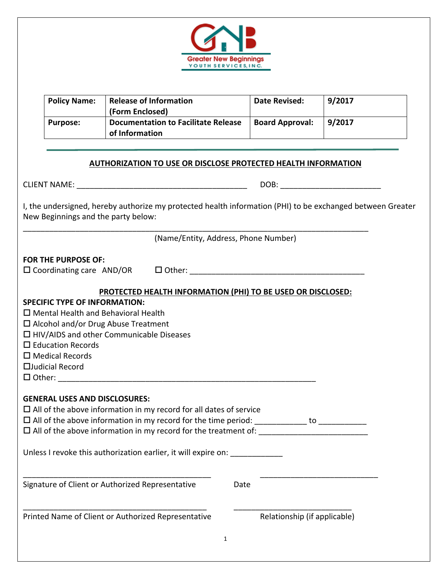

| <b>Policy Name:</b>                                                                                            | <b>Release of Information</b><br>(Form Enclosed)                                                                                                                          | <b>Date Revised:</b>   | 9/2017 |
|----------------------------------------------------------------------------------------------------------------|---------------------------------------------------------------------------------------------------------------------------------------------------------------------------|------------------------|--------|
| <b>Purpose:</b>                                                                                                | <b>Documentation to Facilitate Release</b><br>of Information                                                                                                              | <b>Board Approval:</b> | 9/2017 |
|                                                                                                                |                                                                                                                                                                           |                        |        |
|                                                                                                                | <b>AUTHORIZATION TO USE OR DISCLOSE PROTECTED HEALTH INFORMATION</b>                                                                                                      |                        |        |
|                                                                                                                |                                                                                                                                                                           |                        |        |
| New Beginnings and the party below:                                                                            | I, the undersigned, hereby authorize my protected health information (PHI) to be exchanged between Greater                                                                |                        |        |
|                                                                                                                | (Name/Entity, Address, Phone Number)                                                                                                                                      |                        |        |
| <b>FOR THE PURPOSE OF:</b>                                                                                     |                                                                                                                                                                           |                        |        |
|                                                                                                                |                                                                                                                                                                           |                        |        |
|                                                                                                                | PROTECTED HEALTH INFORMATION (PHI) TO BE USED OR DISCLOSED:                                                                                                               |                        |        |
| <b>SPECIFIC TYPE OF INFORMATION:</b><br>$\Box$ Education Records<br>$\Box$ Medical Records<br>□Judicial Record | $\square$ Mental Health and Behavioral Health<br>$\Box$ Alcohol and/or Drug Abuse Treatment<br>$\Box$ HIV/AIDS and other Communicable Diseases                            |                        |        |
|                                                                                                                |                                                                                                                                                                           |                        |        |
| <b>GENERAL USES AND DISCLOSURES:</b>                                                                           | $\Box$ All of the above information in my record for all dates of service<br>$\square$ All of the above information in my record for the time period: $\hspace{1.6cm}$ to |                        |        |
|                                                                                                                | Unless I revoke this authorization earlier, it will expire on: _________________                                                                                          |                        |        |
|                                                                                                                | Signature of Client or Authorized Representative                                                                                                                          | Date                   |        |